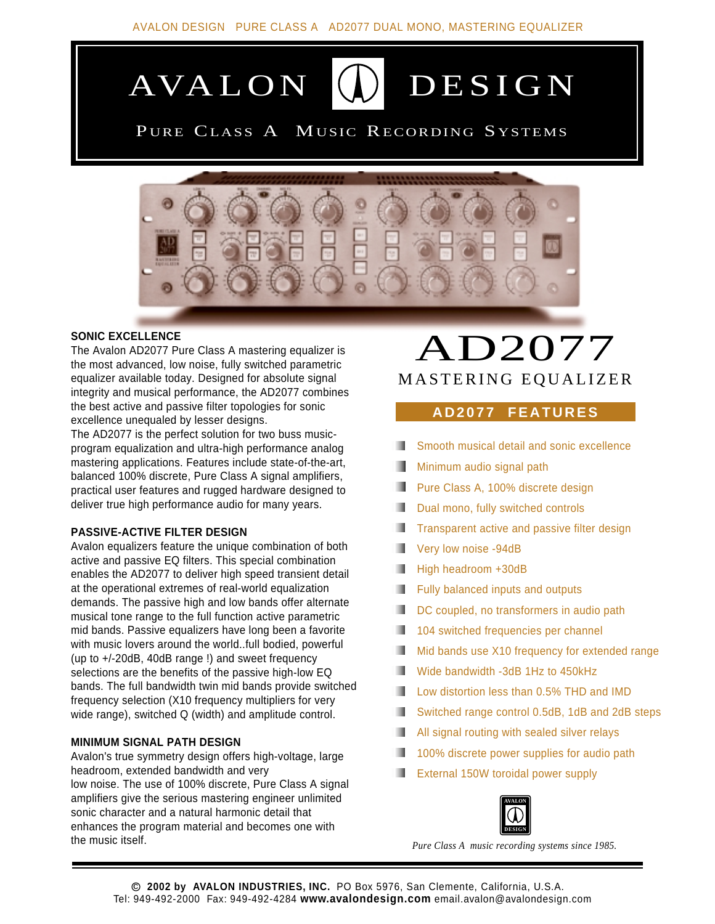

## PURE CLASS A MUSIC RECORDING SYSTEMS



#### **SONIC EXCELLENCE**

The Avalon AD2077 Pure Class A mastering equalizer is the most advanced, low noise, fully switched parametric equalizer available today. Designed for absolute signal integrity and musical performance, the AD2077 combines the best active and passive filter topologies for sonic excellence unequaled by lesser designs.

The AD2077 is the perfect solution for two buss musicprogram equalization and ultra-high performance analog mastering applications. Features include state-of-the-art, balanced 100% discrete, Pure Class A signal amplifiers, practical user features and rugged hardware designed to deliver true high performance audio for many years.

#### **PASSIVE-ACTIVE FILTER DESIGN**

Avalon equalizers feature the unique combination of both active and passive EQ filters. This special combination enables the AD2077 to deliver high speed transient detail at the operational extremes of real-world equalization demands. The passive high and low bands offer alternate musical tone range to the full function active parametric mid bands. Passive equalizers have long been a favorite with music lovers around the world..full bodied, powerful (up to +/-20dB, 40dB range !) and sweet frequency selections are the benefits of the passive high-low EQ bands. The full bandwidth twin mid bands provide switched frequency selection (X10 frequency multipliers for very wide range), switched Q (width) and amplitude control.

#### **MINIMUM SIGNAL PATH DESIGN**

Avalon's true symmetry design offers high-voltage, large headroom, extended bandwidth and very low noise. The use of 100% discrete, Pure Class A signal amplifiers give the serious mastering engineer unlimited sonic character and a natural harmonic detail that enhances the program material and becomes one with the music itself.

# AD2077 MASTERING EQUALIZER

### **AD2077 FEATURES**

- Smooth musical detail and sonic excellence
- Minimum audio signal path
- **Pure Class A, 100% discrete design**
- Dual mono, fully switched controls
- Transparent active and passive filter design
- Very low noise -94dB
- High headroom +30dB
- **Fully balanced inputs and outputs**
- DC coupled, no transformers in audio path
- 104 switched frequencies per channel ٠
- Mid bands use X10 frequency for extended range
- Wide bandwidth -3dB 1Hz to 450kHz
- ш Low distortion less than 0.5% THD and IMD
- Switched range control 0.5dB, 1dB and 2dB steps
- All signal routing with sealed silver relays
- 100% discrete power supplies for audio path .
- External 150W toroidal power supply



*Pure Class A music recording systems since 1985.*